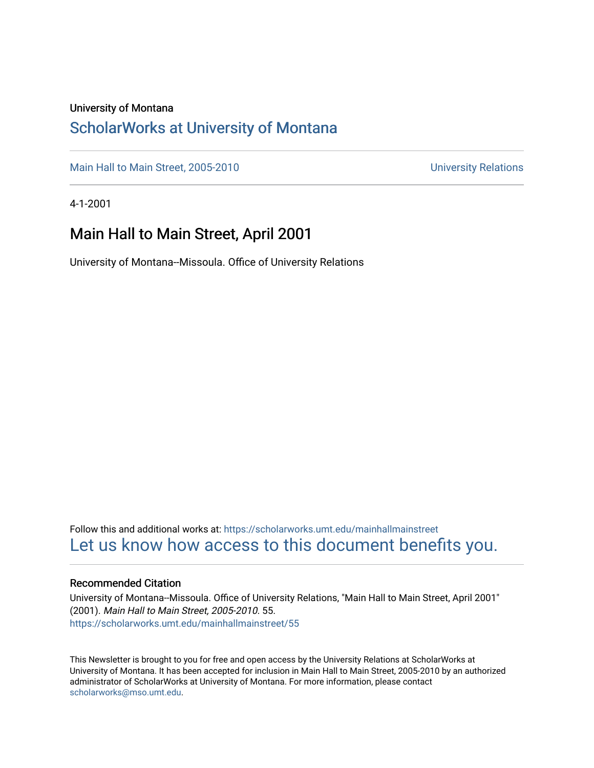#### University of Montana

## [ScholarWorks at University of Montana](https://scholarworks.umt.edu/)

[Main Hall to Main Street, 2005-2010](https://scholarworks.umt.edu/mainhallmainstreet) Main Hall to Main Street, 2005-2010

4-1-2001

## Main Hall to Main Street, April 2001

University of Montana--Missoula. Office of University Relations

Follow this and additional works at: [https://scholarworks.umt.edu/mainhallmainstreet](https://scholarworks.umt.edu/mainhallmainstreet?utm_source=scholarworks.umt.edu%2Fmainhallmainstreet%2F55&utm_medium=PDF&utm_campaign=PDFCoverPages) [Let us know how access to this document benefits you.](https://goo.gl/forms/s2rGfXOLzz71qgsB2) 

#### Recommended Citation

University of Montana--Missoula. Office of University Relations, "Main Hall to Main Street, April 2001" (2001). Main Hall to Main Street, 2005-2010. 55. [https://scholarworks.umt.edu/mainhallmainstreet/55](https://scholarworks.umt.edu/mainhallmainstreet/55?utm_source=scholarworks.umt.edu%2Fmainhallmainstreet%2F55&utm_medium=PDF&utm_campaign=PDFCoverPages) 

This Newsletter is brought to you for free and open access by the University Relations at ScholarWorks at University of Montana. It has been accepted for inclusion in Main Hall to Main Street, 2005-2010 by an authorized administrator of ScholarWorks at University of Montana. For more information, please contact [scholarworks@mso.umt.edu.](mailto:scholarworks@mso.umt.edu)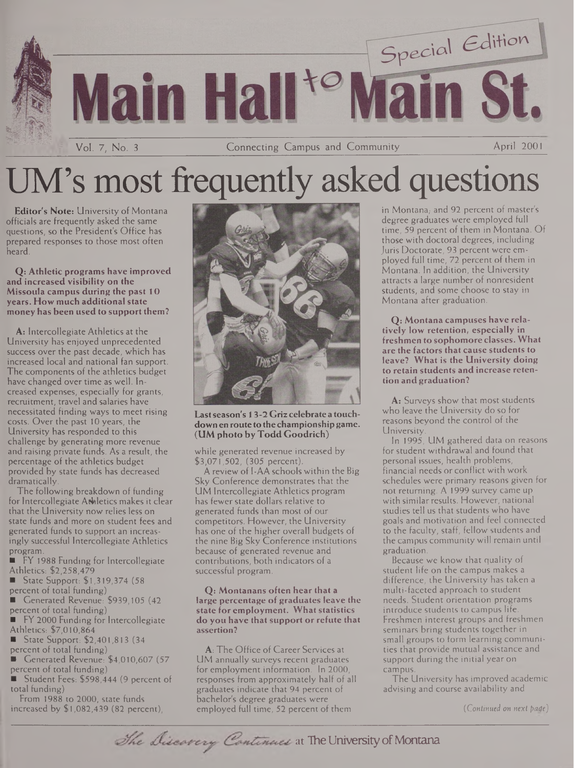

# UM's most frequently asked questions

**Editor's Note:** University of Montana officials are frequently asked the same questions, so the President's Office has prepared responses to those most often heard.

**Q: Athletic programs have improved and increased visibility on the Missoula campus during the past 10 years. How much additional state money has been used to support them?**

**A:** Intercollegiate Athletics at the University has enjoyed unprecedented success over the past decade, which has increased local and national fan support. The components of the athletics budget have changed over time as well. Increased expenses, especially for grants, recruitment, travel and salaries have necessitated finding ways to meet rising costs. Over the past 10 years, the University has responded to this challenge by generating more revenue and raising private funds. As a result, the percentage of the athletics budget provided by state funds has decreased dramatically.

The following breakdown of funding for Intercollegiate Athletics makes it clear that the University now relies less on state funds and more on student fees and generated funds to support an increasingly successful Intercollegiate Athletics program.

FY 1988 Funding for Intercollegiate Athletics: \$2,258,479

- **State Support: \$1,319,374 (58)**
- percent of total funding)

Generated Revenue: \$939,105 (42 percent of total funding)

FY 2000 Funding for Intercollegiate Athletics: \$7,010,864

State Support: \$2,401,813 (34 .

percent of total funding)

Generated Revenue: \$4,010,607 (57 percent of total funding)

Student Fees: \$598,444 (9 percent of total funding)

From 1988 to 2000, state funds increased by \$1,082,439 (82 percent),



**Lastseason's 13-2 Griz celebrate a touchdownenrouteto thechampionshipgame. (UM photo byTodd Goodrich)**

while generated revenue increased by \$3,071,502, (305 percent).

A review of I-AA schools within the Big Sky Conference demonstrates that the UM Intercollegiate Athletics program has fewer state dollars relative to generated funds than most of our competitors. However, the University has one of the higher overall budgets of the nine Big Sky Conference institutions because of generated revenue and contributions, both indicators of a successful program.

**Q: Montanans often hear that a large percentage of graduates leave the state for employment. What statistics do you have that support or refute that assertion?**

**A:** The Office of Career Services at UM annually surveys recent graduates for employment information. In 2000, responses from approximately half of all graduates indicate that 94 percent of bachelor's degree graduates were employed full time, 52 percent of them

in Montana, and 92 percent of master's degree graduates were employed full time, 59 percent of them in Montana. Of those with doctoral degrees, including Juris Doctorate, 93 percent were employed full time, 72 percent of them in Montana. In addition, the University attracts a large number of nonresident students, and some choose to stay in Montana after graduation.

**Q: Montana campuses have relatively low retention, especially in freshmen to sophomore classes. What are the factors that cause students to leave? What is the University doing to retain students andincrease retention and graduation?**

**A:** Surveys show that most students who leave the University do so for reasons beyond the control of the **University** 

In 1995, UM gathered data on reasons for student withdrawal and found that personal issues, health problems, financial needs or conflict with work schedules were primary reasons given for not returning. A 1999 survey came up with similar results. However, national studies tell us that students who have goals and motivation and feel connected to the faculty, staff, fellow students and the campus community will remain until graduation.

Because we know that quality of student life on the campus makes a difference, the University has taken a multi-faceted approach to student needs. Student orientation programs introduce students to campus life. Freshmen interest groups and freshmen seminars bring students together in small groups to form learning communities that provide mutual assistance and support during the initial year on campus.

The University has improved academic advising and course availability and

*(Continued on next page)* 

The Discovery Continues at The University of Montana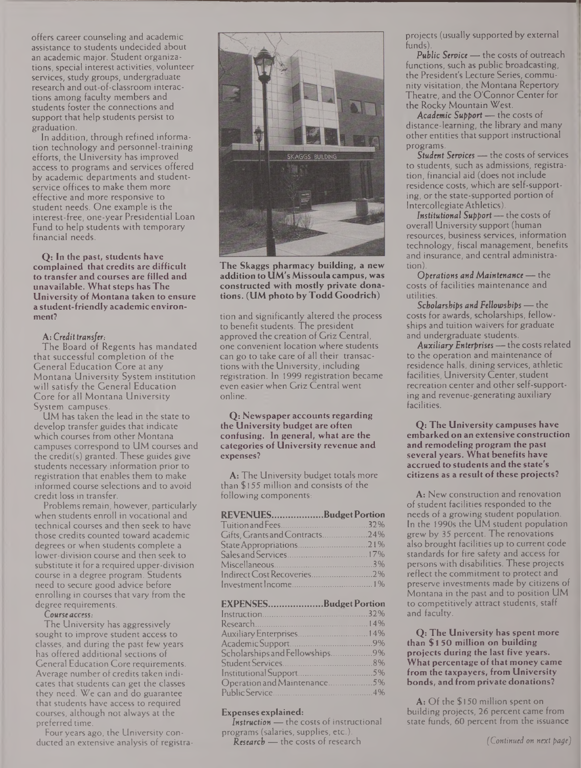offers career counseling and academic assistance to students undecided about an academic major. Student organizations, special interest activities, volunteer services, study groups, undergraduate research and out-of-classroom interactions among faculty members and students foster the connections and support that help students persist to graduation.

In addition, through refined information technology and personnel-training efforts, the University has improved access to programs and services offered by academic departments and studentservice offices to make them more effective and more responsive to student needs. One example is the interest-free, one-year Presidential Loan Fund to help students with temporary financial needs.

**Q: In the past, students have complained that credits are difficult to transfer and courses are filled and unavailable. What steps has The University of Montana taken to ensure a student-friendly academic environment?**

#### **A:** *Credittransfer:*

The Board of Regents has mandated that successful completion of the General Education Core at any Montana University System institution will satisfy the General Education Core for all Montana University System campuses.

UM has taken the lead in the state to develop transfer guides that indicate which courses from other Montana campuses correspond to UM courses and the credit(s) granted. These guides give students necessary information prior to registration that enables them to make informed course selections and to avoid credit loss in transfer.

Problems remain, however, particularly when students enroll in vocational and technical courses and then seek to have those credits counted toward academic degrees or when students complete a lower-division course and then seek to substitute it for a required upper-division course in a degree program. Students need to secure good advice before enrolling in courses that vary from the degree requirements.

#### **Courseaccess.-**

The University has aggressively sought to improve student access to classes, and during the past few years has offered additional sections of General Education Core requirements. Average number of credits taken indicates that students can get the classes they need. We can and do guarantee that students have access to required courses, although not always at the preferred time.

Four years ago, the University conducted an extensive analysis of registra-



**The Skaggs pharmacy building, a new additionto UM's Missoulacampus, was constructed with mostly private donations. (UM photo byTodd Goodrich)**

tion and significantly altered the process to benefit students. The president approved the creation of Griz Central, one convenient location where students can go to take care of all their transactionswith the University, including registration. In 1999 registration became even easier when Griz Central went online.

**Q: Newspaperaccounts regarding the University budget are often confusing. In general, what are the categories of University revenue and expenses?**

**A:** The University budget totals more than \$155 million and consists of the following components:

## **REVENUES...................BudgetPortion**

| Gifts, Grants and Contracts24% |  |
|--------------------------------|--|
|                                |  |
|                                |  |
|                                |  |
|                                |  |
|                                |  |

| EXPENSESBudget Portion         |  |
|--------------------------------|--|
|                                |  |
|                                |  |
|                                |  |
|                                |  |
| Scholarships and Fellowships9% |  |
|                                |  |
|                                |  |
| Operation and Maintenance5%    |  |
|                                |  |

#### **Expenses explained:**

*Instruction —* the costs of instructional programs (salaries, supplies, etc.).

**Research —** the costs of research

projects (usually supported by external funds).

**Public** *Service —* the costs of outreach functions, such as public broadcasting, the President's Lecture Series, community visitation, the Montana Repertory Theatre, and the O'Connor Center for the Rocky Mountain West.

*Academic Support —* the costs of distance-learning, the library and many other entities that support instructional programs.

*Student Services —* the costs of services to students, such as admissions, registration, financial aid (does not include residence costs, which are self-supporting, or the state-supported portion of IntercollegiateAthletics).

*Institutional Support—*the costs of overall University support (human resources, business services, information technology, fiscal management, benefits and insurance, and central administration).

**Operations and** *Maintenance —*the costs of facilities maintenance and utilities.

*Scholarships and Fellowships —* the costs for awards, scholarships, fellowships and tuition waivers for graduate and undergraduate students.

*AuxiliaryEnterprises—*the costs related to the operation and maintenance of residence halls, dining services, athletic facilities, University Center, student recreation center and other self-supporting and revenue-generating auxiliary facilities.

**Q: The University campuses have embarkedon an extensive construction and remodeling program the past several years. What benefits have accruedto students and the state's citizens as a result ofthese projects?**

**A:** New construction and renovation of student facilities responded to the needs of a growing student population. In the 1990s the UM student population grew by 35 percent. The renovations also brought facilities up to current code standards for fire safety and access for persons with disabilities. These projects reflect the commitment to protect and preserve investments made by citizens of Montana in the past and to position UM to competitively attract students, staff and faculty.

**Q: The University has spent more than \$150 million on building projects during the last five years. What percentage of that money came from the taxpayers, from University bonds, and from private donations?**

 $A:$  Of the \$150 million spent on building projects, 26 percent came from state funds, 60 percent from the issuance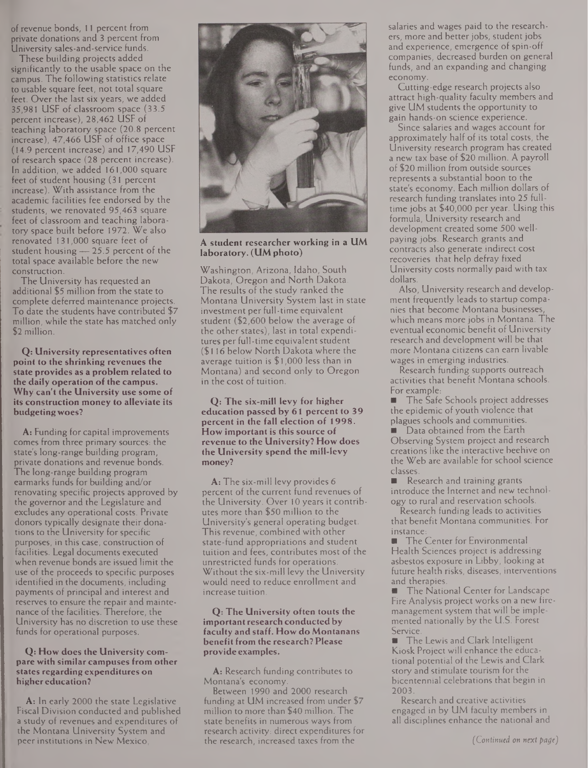of revenue bonds, 11 percent from private donations and 3 percent from University sales-and-service funds.

These building projects added significantly to the usable space on the campus. The following statistics relate to usable square feet, not total square feet. Over the last six years, we added 35,981 USF of classroom space (33.5 percent increase), 28,462 USF of teaching laboratory space (20.8 percent increase), 47,466 USF of office space (14.9 percent increase) and 17,490 USF of research space (28 percent increase). In addition, we added 161,000 square feet of student housing (31 percent increase). With assistance from the academic facilities fee endorsed by the students, we renovated 95,463 square feet of classroom and teaching laboratory space built before 1972. We also renovated 131,000 square feet of student housing — 25.5 percent of the total space available before the new construction.

The University has requested an additional \$5 million from the state to complete deferred maintenance projects. To date the students have contributed \$7 million, while the state has matched only \$2 million.

**Q: University representatives often point to the shrinking revenues the state provides as a problem related to the daily operation ofthe campus. Why can't the University use some of its construction money to alleviate its budgetingwoes?**

**A:** Funding for capital improvements comes from three primary sources: the state's long-range building program, private donations and revenue bonds. The long-range building program earmarks funds for building and/or renovating specific projects approved by the governor and the Legislature and excludes any operational costs. Private donors typically designate their donations to the University for specific purposes, in this case, construction of facilities. Legal documents executed when revenue bonds are issued limit the use of the proceeds to specific purposes identified in the documents, including payments of principal and interest and reserves to ensure the repair and maintenance of the facilities. Therefore, the University has no discretion to use these funds for operational purposes.

#### **Q: How does the University compare with similar campuses from other states regarding expenditures on higher education?**

**A:** In early 2000 the state Legislative Fiscal Division conducted and published a study of revenues and expenditures of the Montana University System and peer institutions in New Mexico,



**A student researcher working in a UM laboratory. (UMphoto)**

Washington, Arizona, Idaho, South Dakota, Oregon and North Dakota. The results of the study ranked the Montana University System last in state investment per full-time equivalent student (\$2,600 below the average of the other states), last in total expenditures per full-time equivalent student (\$116 below North Dakota where the average tuition is \$1,000 less than in Montana) and second only to Oregon in the cost of tuition.

**Q: The six-mill levy for higher education passed by 61 percent to 39 percent in the fall election of 1998. How important is this source of revenue to the University? How does the University spend the mill-levy money?**

**A:** The six-mill levy provides 6 percent of the current fund revenues of the University. Over 10 years it contributes more than \$50 million to the University's general operating budget. This revenue, combined with other state-fund appropriations and student tuition and fees, contributes most of the unrestricted funds for operations. Without the six-mill levy the University would need to reduce enrollment and increase tuition.

#### **Q: The University often touts the important research conductedby faculty and staff. How do Montanans benefitfrom the research? Please provide examples.**

**A:** Research funding contributes to Montana's economy.

Between 1990 and 2000 research funding at UM increased from under \$7 million to more than \$40 million. The state benefits in numerous ways from research activity: direct expenditures for the research, increased taxes from the

salaries and wages paid to the researchers, more and better jobs, student jobs and experience, emergence of spin-off companies, decreased burden on general funds, and an expanding and changing economy.

Cutting-edge research projects also attract high-quality faculty members and give UM students the opportunity to gain hands-on science experience.

Since salaries and wages account for approximately half of its total costs, the University research program has created a new tax base of \$20 million. A payroll of \$20 million from outside sources represents a substantial boon to the state's economy. Each million dollars of research funding translates into 25 fulltime jobs at \$40,000 per year. Using this formula, University research and development created some 500 wellpaying jobs. Research grants and contracts also generate indirect cost recoveries that help defray fixed University costs normally paid with tax dollars.

Also, University research and development frequently leads to startup companies that become Montana businesses, which means more jobs in Montana. The eventual economic benefit of University research and development will be that more Montana citizens can earn livable wages in emerging industries.

Research funding supports outreach activities that benefit Montana schools. For example:

**The Safe Schools project addresses** the epidemic of youth violence that plagues schools and communities.

Data obtained from the Earth Observing System project and research creations like the interactive beehive on the Web are available for school science classes.

Research and training grants introduce the Internet and new technology to rural and reservation schools.

Research funding leads to activities that benefit Montana communities. For instance:

**The Center for Environmental** Health Sciences project is addressing asbestos exposure in Libby, looking at future health risks, diseases, interventions and therapies.

The National Center for Landscape Fire Analysis project works on a new firemanagement system that will be implemented nationally by the U.S. Forest Service.

The Lewis and Clark Intelligent m. Kiosk Project will enhance the educational potential of the Lewis and Clark story and stimulate tourism for the bicentennial celebrations that begin in 2003.

Research and creative activities engaged in by UM faculty members in all disciplines enhance the national and